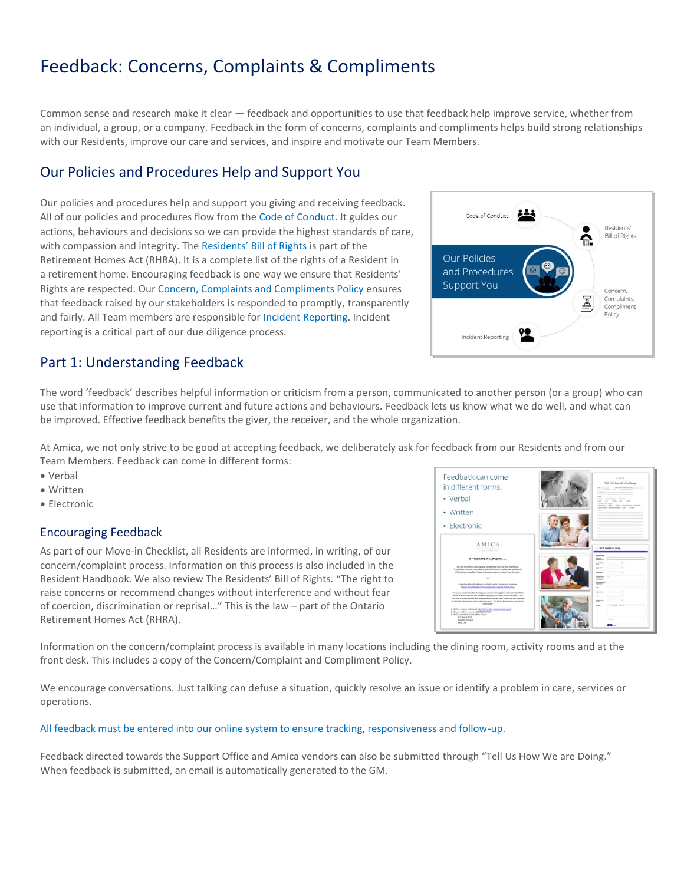# Feedback: Concerns, Complaints & Compliments

Common sense and research make it clear — feedback and opportunities to use that feedback help improve service, whether from an individual, a group, or a company. Feedback in the form of concerns, complaints and compliments helps build strong relationships with our Residents, improve our care and services, and inspire and motivate our Team Members.

### Our Policies and Procedures Help and Support You

Our policies and procedures help and support you giving and receiving feedback. All of our policies and procedures flow from the Code of Conduct. It guides our actions, behaviours and decisions so we can provide the highest standards of care, with compassion and integrity. The Residents' Bill of Rights is part of the Retirement Homes Act (RHRA). It is a complete list of the rights of a Resident in a retirement home. Encouraging feedback is one way we ensure that Residents' Rights are respected. Our Concern, Complaints and Compliments Policy ensures that feedback raised by our stakeholders is responded to promptly, transparently and fairly. All Team members are responsible for Incident Reporting. Incident reporting is a critical part of our due diligence process.



### Part 1: Understanding Feedback

The word 'feedback' describes helpful information or criticism from a person, communicated to another person (or a group) who can use that information to improve current and future actions and behaviours. Feedback lets us know what we do well, and what can be improved. Effective feedback benefits the giver, the receiver, and the whole organization.

At Amica, we not only strive to be good at accepting feedback, we deliberately ask for feedback from our Residents and from our Team Members. Feedback can come in different forms:

- Verbal
- Written
- Electronic

### Encouraging Feedback

As part of our Move-in Checklist, all Residents are informed, in writing, of our concern/complaint process. Information on this process is also included in the Resident Handbook. We also review The Residents' Bill of Rights. "The right to raise concerns or recommend changes without interference and without fear of coercion, discrimination or reprisal…" This is the law – part of the Ontario Retirement Homes Act (RHRA).



Information on the concern/complaint process is available in many locations including the dining room, activity rooms and at the front desk. This includes a copy of the Concern/Complaint and Compliment Policy.

We encourage conversations. Just talking can defuse a situation, quickly resolve an issue or identify a problem in care, services or operations.

#### All feedback must be entered into our online system to ensure tracking, responsiveness and follow-up.

Feedback directed towards the Support Office and Amica vendors can also be submitted through "Tell Us How We are Doing." When feedback is submitted, an email is automatically generated to the GM.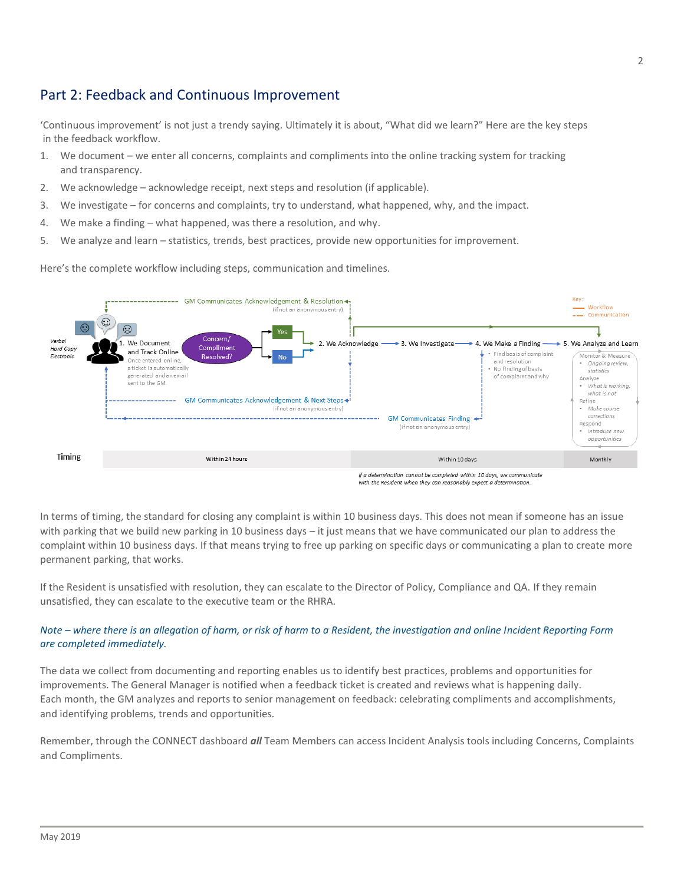## Part 2: Feedback and Continuous Improvement

'Continuous improvement' is not just a trendy saying. Ultimately it is about, "What did we learn?" Here are the key steps in the feedback workflow.

- 1. We document we enter all concerns, complaints and compliments into the online tracking system for tracking and transparency.
- 2. We acknowledge acknowledge receipt, next steps and resolution (if applicable).
- 3. We investigate for concerns and complaints, try to understand, what happened, why, and the impact.
- 4. We make a finding what happened, was there a resolution, and why.
- 5. We analyze and learn statistics, trends, best practices, provide new opportunities for improvement.

Here's the complete workflow including steps, communication and timelines.



.<br>with the Resident when they can reasonably expect a determination.

In terms of timing, the standard for closing any complaint is within 10 business days. This does not mean if someone has an issue with parking that we build new parking in 10 business days – it just means that we have communicated our plan to address the complaint within 10 business days. If that means trying to free up parking on specific days or communicating a plan to create more permanent parking, that works.

If the Resident is unsatisfied with resolution, they can escalate to the Director of Policy, Compliance and QA. If they remain unsatisfied, they can escalate to the executive team or the RHRA.

#### *Note – where there is an allegation of harm, or risk of harm to a Resident, the investigation and online Incident Reporting Form are completed immediately.*

The data we collect from documenting and reporting enables us to identify best practices, problems and opportunities for improvements. The General Manager is notified when a feedback ticket is created and reviews what is happening daily. Each month, the GM analyzes and reports to senior management on feedback: celebrating compliments and accomplishments, and identifying problems, trends and opportunities.

Remember, through the CONNECT dashboard *all* Team Members can access Incident Analysis tools including Concerns, Complaints and Compliments.